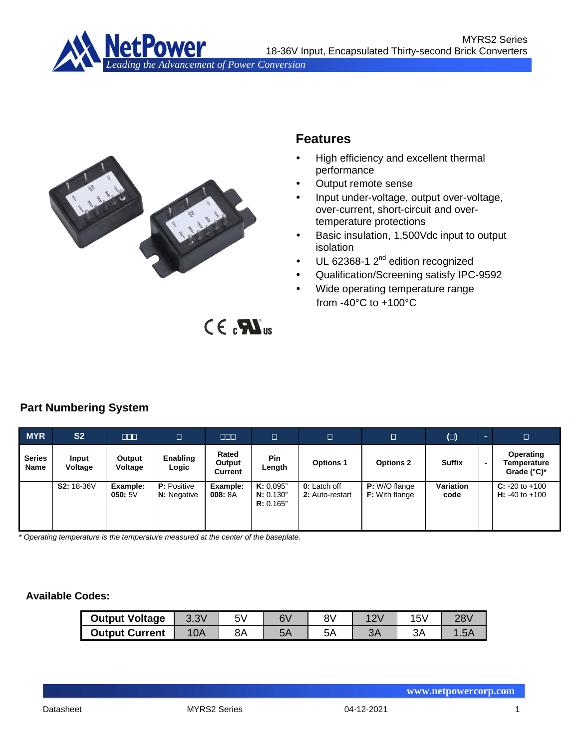



# **Features**

- High efficiency and excellent thermal performance
- Output remote sense
- Input under-voltage, output over-voltage, over-current, short-circuit and overtemperature protections
- Basic insulation, 1,500Vdc input to output isolation
- $\cdot$  UL 62368-1 2<sup>nd</sup> edition recognized
- Qualification/Screening satisfy IPC-9592
- Wide operating temperature range from -40°C to +100°C

# $CE<sub>a</sub>$  $X<sub>us</sub>$

# **Part Numbering System**

| <b>MYR</b>            | S <sub>2</sub>    | <b>OOO</b>         | $\Box$                                   | <b>THE</b>                 | $\Box$                              | $\Box$                                 | $\Box$                                 | $(\Box)$          | ж.             | □                                        |
|-----------------------|-------------------|--------------------|------------------------------------------|----------------------------|-------------------------------------|----------------------------------------|----------------------------------------|-------------------|----------------|------------------------------------------|
| <b>Series</b><br>Name | Input<br>Voltage  | Output<br>Voltage  | Enabling<br>Logic                        | Rated<br>Output<br>Current | Pin<br>Length                       | <b>Options 1</b>                       | <b>Options 2</b>                       | <b>Suffix</b>     | $\blacksquare$ | Operating<br>Temperature<br>Grade (°C)*  |
|                       | <b>S2: 18-36V</b> | Example:<br>050:5V | <b>P:</b> Positive<br><b>N:</b> Negative | Example:<br>008: 8A        | K: 0.095"<br>N: 0.130"<br>R: 0.165" | <b>0:</b> Latch off<br>2: Auto-restart | P: W/O flange<br><b>F:</b> With flange | Variation<br>code |                | $C: -20$ to $+100$<br>$H: -40$ to $+100$ |

*\* Operating temperature is the temperature measured at the center of the baseplate.*

### **Available Codes:**

| <b>Output Voltage</b> | 3.3V       | い  | 6V | 8V | $\overline{2}$ | 151. |               |
|-----------------------|------------|----|----|----|----------------|------|---------------|
| <b>Output Current</b> | <b>10A</b> | 8А | 5A | 5A | эP             | ЗΑ   | $\sim$<br>.OA |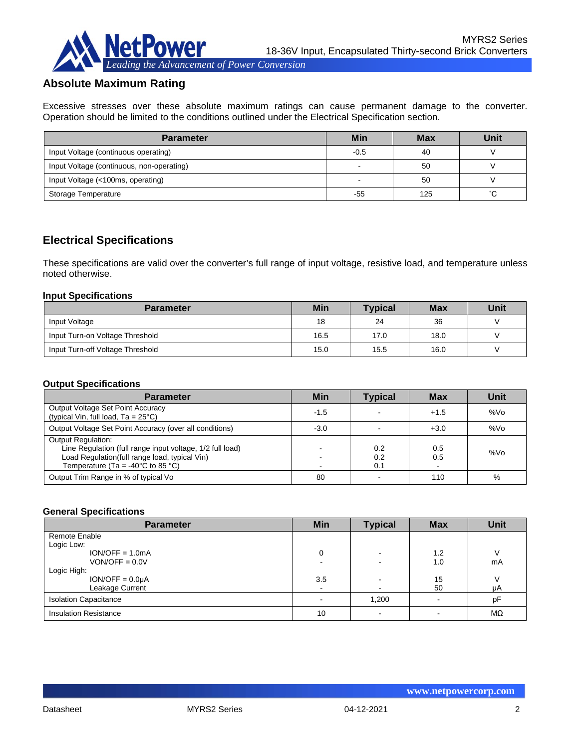

# **Absolute Maximum Rating**

Excessive stresses over these absolute maximum ratings can cause permanent damage to the converter. Operation should be limited to the conditions outlined under the Electrical Specification section.

| <b>Parameter</b>                          | <b>Min</b> | <b>Max</b> | <b>Unit</b> |
|-------------------------------------------|------------|------------|-------------|
| Input Voltage (continuous operating)      | $-0.5$     | 40         |             |
| Input Voltage (continuous, non-operating) |            | 50         |             |
| Input Voltage (<100ms, operating)         |            | 50         |             |
| Storage Temperature                       | -55        | 125        | °С          |

# **Electrical Specifications**

These specifications are valid over the converter's full range of input voltage, resistive load, and temperature unless noted otherwise.

#### **Input Specifications**

| <b>Parameter</b>                 | <b>Min</b> | <b>Typical</b> | <b>Max</b> | Unit |
|----------------------------------|------------|----------------|------------|------|
| Input Voltage                    | 18         | 24             | 36         |      |
| Input Turn-on Voltage Threshold  | 16.5       | 17.0           | 18.0       |      |
| Input Turn-off Voltage Threshold | 15.0       | 15.5           | 16.0       |      |

#### **Output Specifications**

| <b>Parameter</b>                                                                                                                                                                                  | <b>Min</b> | <b>Typical</b>    | <b>Max</b> | Unit   |
|---------------------------------------------------------------------------------------------------------------------------------------------------------------------------------------------------|------------|-------------------|------------|--------|
| Output Voltage Set Point Accuracy<br>(typical Vin, full load, $Ta = 25^{\circ}C$ )                                                                                                                | $-1.5$     |                   | $+1.5$     | $%$ Vo |
| Output Voltage Set Point Accuracy (over all conditions)                                                                                                                                           | $-3.0$     |                   | $+3.0$     | %Vo    |
| <b>Output Regulation:</b><br>Line Regulation (full range input voltage, 1/2 full load)<br>Load Regulation(full range load, typical Vin)<br>Temperature (Ta = -40 $^{\circ}$ C to 85 $^{\circ}$ C) |            | 0.2<br>0.2<br>0.1 | 0.5<br>0.5 | %Vo    |
| Output Trim Range in % of typical Vo                                                                                                                                                              | 80         |                   | 110        | %      |

#### **General Specifications**

| <b>Parameter</b>             | <b>Min</b> | <b>Typical</b> | <b>Max</b> | Unit |
|------------------------------|------------|----------------|------------|------|
| Remote Enable                |            |                |            |      |
| Logic Low:                   |            |                |            |      |
| $ION/OFF = 1.0mA$            |            |                | 1.2        |      |
| $VON/OFF = 0.0V$             |            |                | 1.0        | mA   |
| Logic High:                  |            |                |            |      |
| $ION/OFF = 0.0µA$            | 3.5        |                | 15         |      |
| Leakage Current              |            |                | 50         | μA   |
| <b>Isolation Capacitance</b> |            | 1,200          |            | рF   |
| <b>Insulation Resistance</b> | 10         |                |            | ΜΩ   |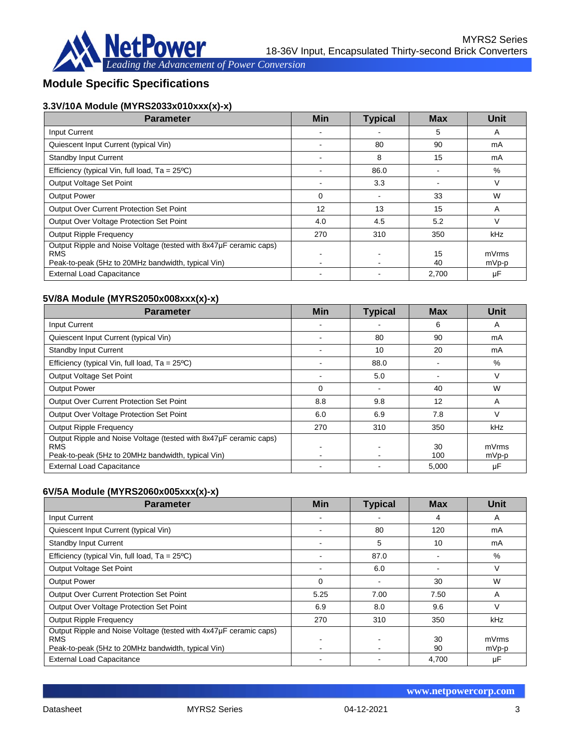

# **Module Specific Specifications**

# **3.3V/10A Module (MYRS2033x010xxx(x)-x)**

| <b>Parameter</b>                                                                                                                      | <b>Min</b> | <b>Typical</b> | <b>Max</b> | <b>Unit</b>      |
|---------------------------------------------------------------------------------------------------------------------------------------|------------|----------------|------------|------------------|
| <b>Input Current</b>                                                                                                                  |            |                | 5          | A                |
| Quiescent Input Current (typical Vin)                                                                                                 |            | 80             | 90         | mA               |
| <b>Standby Input Current</b>                                                                                                          |            | 8              | 15         | mA               |
| Efficiency (typical Vin, full load, Ta = 25°C)                                                                                        |            | 86.0           |            | %                |
| Output Voltage Set Point                                                                                                              |            | 3.3            |            | V                |
| <b>Output Power</b>                                                                                                                   | $\Omega$   |                | 33         | W                |
| Output Over Current Protection Set Point                                                                                              | 12         | 13             | 15         | A                |
| Output Over Voltage Protection Set Point                                                                                              | 4.0        | 4.5            | 5.2        | v                |
| <b>Output Ripple Frequency</b>                                                                                                        | 270        | 310            | 350        | kHz              |
| Output Ripple and Noise Voltage (tested with 8x47uF ceramic caps)<br><b>RMS</b><br>Peak-to-peak (5Hz to 20MHz bandwidth, typical Vin) |            |                | 15<br>40   | mVrms<br>$mVp-p$ |
| <b>External Load Capacitance</b>                                                                                                      |            |                | 2,700      | μF               |

#### **5V/8A Module (MYRS2050x008xxx(x)-x)**

| <b>Parameter</b>                                                                                                                      | <b>Min</b> | <b>Typical</b> | <b>Max</b> | <b>Unit</b>      |
|---------------------------------------------------------------------------------------------------------------------------------------|------------|----------------|------------|------------------|
| <b>Input Current</b>                                                                                                                  |            |                | 6          | A                |
| Quiescent Input Current (typical Vin)                                                                                                 |            | 80             | 90         | mA               |
| <b>Standby Input Current</b>                                                                                                          |            | 10             | 20         | mA               |
| Efficiency (typical Vin, full load, $Ta = 25^{\circ}C$ )                                                                              |            | 88.0           |            | %                |
| Output Voltage Set Point                                                                                                              |            | 5.0            |            | V                |
| <b>Output Power</b>                                                                                                                   | 0          |                | 40         | W                |
| <b>Output Over Current Protection Set Point</b>                                                                                       | 8.8        | 9.8            | 12         | A                |
| Output Over Voltage Protection Set Point                                                                                              | 6.0        | 6.9            | 7.8        | V                |
| <b>Output Ripple Frequency</b>                                                                                                        | 270        | 310            | 350        | kHz              |
| Output Ripple and Noise Voltage (tested with 8x47µF ceramic caps)<br><b>RMS</b><br>Peak-to-peak (5Hz to 20MHz bandwidth, typical Vin) |            |                | 30<br>100  | mVrms<br>$mVp-p$ |
| <b>External Load Capacitance</b>                                                                                                      |            |                | 5,000      | μF               |

#### **6V/5A Module (MYRS2060x005xxx(x)-x)**

| <b>Parameter</b>                                                                                                                      | <b>Min</b> | <b>Typical</b> | <b>Max</b> | <b>Unit</b>    |
|---------------------------------------------------------------------------------------------------------------------------------------|------------|----------------|------------|----------------|
| <b>Input Current</b>                                                                                                                  |            |                | 4          | A              |
| Quiescent Input Current (typical Vin)                                                                                                 |            | 80             | 120        | mA             |
| <b>Standby Input Current</b>                                                                                                          |            | 5              | 10         | mA             |
| Efficiency (typical Vin, full load, $Ta = 25^{\circ}C$ )                                                                              |            | 87.0           |            | $\%$           |
| Output Voltage Set Point                                                                                                              |            | 6.0            |            | v              |
| <b>Output Power</b>                                                                                                                   | 0          |                | 30         | W              |
| Output Over Current Protection Set Point                                                                                              | 5.25       | 7.00           | 7.50       | A              |
| Output Over Voltage Protection Set Point                                                                                              | 6.9        | 8.0            | 9.6        | v              |
| <b>Output Ripple Frequency</b>                                                                                                        | 270        | 310            | 350        | <b>kHz</b>     |
| Output Ripple and Noise Voltage (tested with 4x47µF ceramic caps)<br><b>RMS</b><br>Peak-to-peak (5Hz to 20MHz bandwidth, typical Vin) |            |                | 30<br>90   | mVrms<br>mVp-p |
| <b>External Load Capacitance</b>                                                                                                      |            |                | 4,700      | μF             |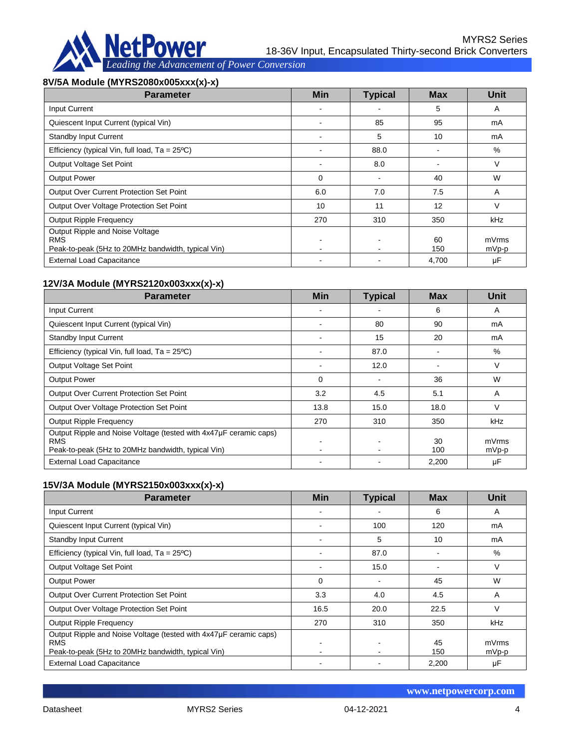

#### **8V/5A Module (MYRS2080x005xxx(x)-x)**

| <b>Parameter</b>                                                                                    | <b>Min</b> | <b>Typical</b>           | <b>Max</b> | Unit             |
|-----------------------------------------------------------------------------------------------------|------------|--------------------------|------------|------------------|
| Input Current                                                                                       |            |                          | 5          | A                |
| Quiescent Input Current (typical Vin)                                                               |            | 85                       | 95         | mA               |
| Standby Input Current                                                                               |            | 5                        | 10         | mA               |
| Efficiency (typical Vin, full load, $Ta = 25^{\circ}C$ )                                            |            | 88.0                     |            | %                |
| Output Voltage Set Point                                                                            |            | 8.0                      |            | $\vee$           |
| <b>Output Power</b>                                                                                 | 0          | $\overline{\phantom{a}}$ | 40         | W                |
| Output Over Current Protection Set Point                                                            | 6.0        | 7.0                      | 7.5        | A                |
| Output Over Voltage Protection Set Point                                                            | 10         | 11                       | 12         | V                |
| <b>Output Ripple Frequency</b>                                                                      | 270        | 310                      | 350        | kHz              |
| Output Ripple and Noise Voltage<br><b>RMS</b><br>Peak-to-peak (5Hz to 20MHz bandwidth, typical Vin) |            |                          | 60<br>150  | mVrms<br>$mVp-p$ |
| <b>External Load Capacitance</b>                                                                    |            |                          | 4,700      | μF               |

#### **12V/3A Module (MYRS2120x003xxx(x)-x)**

| <b>Parameter</b>                                                                                                                      | <b>Min</b> | <b>Typical</b> | <b>Max</b> | <b>Unit</b>      |
|---------------------------------------------------------------------------------------------------------------------------------------|------------|----------------|------------|------------------|
| Input Current                                                                                                                         |            |                | 6          | A                |
| Quiescent Input Current (typical Vin)                                                                                                 |            | 80             | 90         | mA               |
| <b>Standby Input Current</b>                                                                                                          |            | 15             | 20         | mA               |
| Efficiency (typical Vin, full load, $Ta = 25^{\circ}C$ )                                                                              |            | 87.0           |            | %                |
| Output Voltage Set Point                                                                                                              |            | 12.0           |            | V                |
| <b>Output Power</b>                                                                                                                   | $\Omega$   |                | 36         | W                |
| <b>Output Over Current Protection Set Point</b>                                                                                       | 3.2        | 4.5            | 5.1        | A                |
| Output Over Voltage Protection Set Point                                                                                              | 13.8       | 15.0           | 18.0       | V                |
| <b>Output Ripple Frequency</b>                                                                                                        | 270        | 310            | 350        | <b>kHz</b>       |
| Output Ripple and Noise Voltage (tested with 4x47µF ceramic caps)<br><b>RMS</b><br>Peak-to-peak (5Hz to 20MHz bandwidth, typical Vin) |            |                | 30<br>100  | mVrms<br>$mVp-p$ |
| <b>External Load Capacitance</b>                                                                                                      |            |                | 2,200      | μF               |

#### **15V/3A Module (MYRS2150x003xxx(x)-x)**

| <b>Parameter</b>                                                                                                                      | <b>Min</b> | <b>Typical</b> | <b>Max</b> | Unit           |
|---------------------------------------------------------------------------------------------------------------------------------------|------------|----------------|------------|----------------|
| <b>Input Current</b>                                                                                                                  |            |                | 6          | A              |
| Quiescent Input Current (typical Vin)                                                                                                 |            | 100            | 120        | mA             |
| <b>Standby Input Current</b>                                                                                                          |            | 5              | 10         | mA             |
| Efficiency (typical Vin, full load, $Ta = 25^{\circ}C$ )                                                                              |            | 87.0           |            | %              |
| Output Voltage Set Point                                                                                                              |            | 15.0           |            | V              |
| <b>Output Power</b>                                                                                                                   | $\Omega$   |                | 45         | W              |
| <b>Output Over Current Protection Set Point</b>                                                                                       | 3.3        | 4.0            | 4.5        | A              |
| Output Over Voltage Protection Set Point                                                                                              | 16.5       | 20.0           | 22.5       | V              |
| <b>Output Ripple Frequency</b>                                                                                                        | 270        | 310            | 350        | kHz            |
| Output Ripple and Noise Voltage (tested with 4x47µF ceramic caps)<br><b>RMS</b><br>Peak-to-peak (5Hz to 20MHz bandwidth, typical Vin) |            |                | 45<br>150  | mVrms<br>mVp-p |
| <b>External Load Capacitance</b>                                                                                                      |            |                | 2,200      | μF             |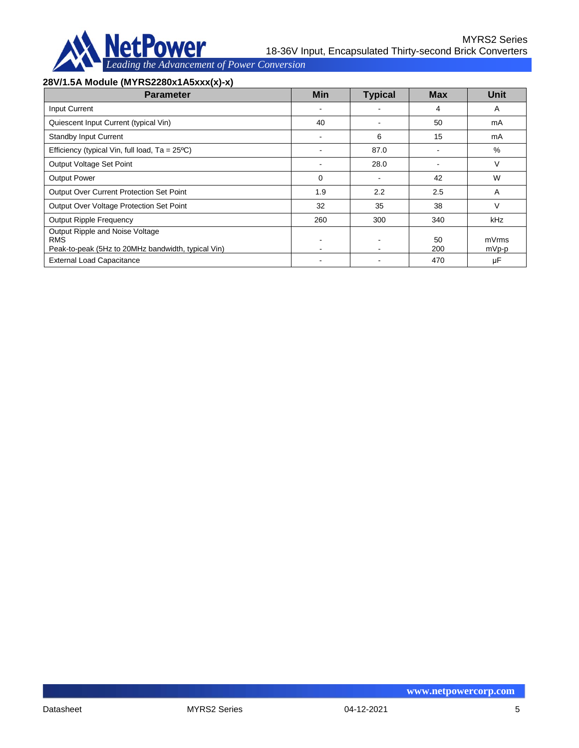

#### **28V/1.5A Module (MYRS2280x1A5xxx(x)-x)**

| <b>Parameter</b>                                                                                    | <b>Min</b>  | <b>Typical</b> | <b>Max</b> | Unit             |
|-----------------------------------------------------------------------------------------------------|-------------|----------------|------------|------------------|
| Input Current                                                                                       |             |                | 4          | A                |
| Quiescent Input Current (typical Vin)                                                               | 40          |                | 50         | mA               |
| <b>Standby Input Current</b>                                                                        |             | 6              | 15         | mA               |
| Efficiency (typical Vin, full load, $Ta = 25^{\circ}C$ )                                            |             | 87.0           |            | %                |
| Output Voltage Set Point                                                                            |             | 28.0           |            | V                |
| <b>Output Power</b>                                                                                 | $\mathbf 0$ |                | 42         | W                |
| Output Over Current Protection Set Point                                                            | 1.9         | 2.2            | 2.5        | A                |
| Output Over Voltage Protection Set Point                                                            | 32          | 35             | 38         | v                |
| <b>Output Ripple Frequency</b>                                                                      | 260         | 300            | 340        | <b>kHz</b>       |
| Output Ripple and Noise Voltage<br><b>RMS</b><br>Peak-to-peak (5Hz to 20MHz bandwidth, typical Vin) |             |                | 50<br>200  | mVrms<br>$mVp-p$ |
| <b>External Load Capacitance</b>                                                                    |             |                | 470        | μF               |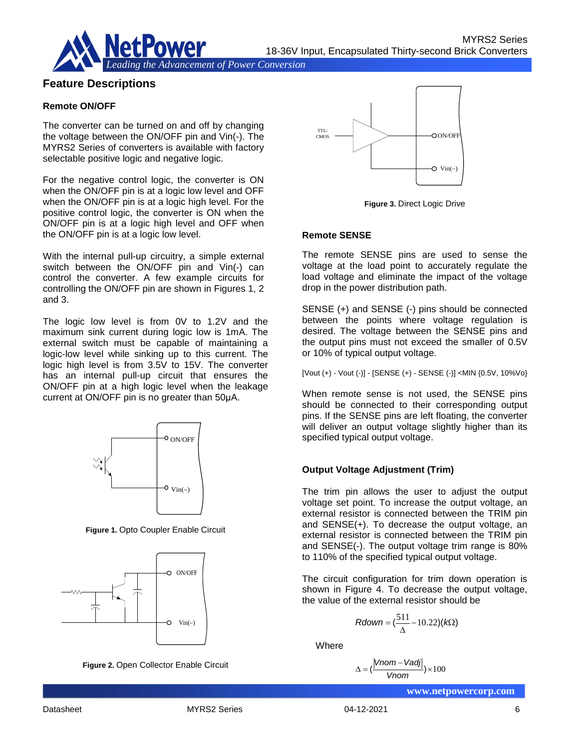

# **Feature Descriptions**

#### **Remote ON/OFF**

The converter can be turned on and off by changing the voltage between the ON/OFF pin and Vin(-). The MYRS2 Series of converters is available with factory selectable positive logic and negative logic.

For the negative control logic, the converter is ON when the ON/OFF pin is at a logic low level and OFF when the ON/OFF pin is at a logic high level. For the positive control logic, the converter is ON when the ON/OFF pin is at a logic high level and OFF when the ON/OFF pin is at a logic low level.

With the internal pull-up circuitry, a simple external switch between the ON/OFF pin and Vin(-) can control the converter. A few example circuits for controlling the ON/OFF pin are shown in Figures 1, 2 and 3.

The logic low level is from 0V to 1.2V and the maximum sink current during logic low is 1mA. The external switch must be capable of maintaining a logic-low level while sinking up to this current. The logic high level is from 3.5V to 15V. The converter has an internal pull-up circuit that ensures the ON/OFF pin at a high logic level when the leakage current at ON/OFF pin is no greater than 50μA.



**Figure 1.** Opto Coupler Enable Circuit



**Figure 2.** Open Collector Enable Circuit



**Figure 3.** Direct Logic Drive

#### **Remote SENSE**

The remote SENSE pins are used to sense the voltage at the load point to accurately regulate the load voltage and eliminate the impact of the voltage drop in the power distribution path.

SENSE (+) and SENSE (-) pins should be connected between the points where voltage regulation is desired. The voltage between the SENSE pins and the output pins must not exceed the smaller of 0.5V or 10% of typical output voltage.

[Vout (+) - Vout (-)] - [SENSE (+) - SENSE (-)] <MIN {0.5V, 10%Vo}

When remote sense is not used, the SENSE pins should be connected to their corresponding output pins. If the SENSE pins are left floating, the converter will deliver an output voltage slightly higher than its specified typical output voltage.

#### **Output Voltage Adjustment (Trim)**

The trim pin allows the user to adjust the output voltage set point. To increase the output voltage, an external resistor is connected between the TRIM pin and SENSE(+). To decrease the output voltage, an external resistor is connected between the TRIM pin and SENSE(-). The output voltage trim range is 80% to 110% of the specified typical output voltage.

The circuit configuration for trim down operation is shown in Figure 4. To decrease the output voltage, the value of the external resistor should be

$$
Rdown = \left(\frac{511}{\Delta} - 10.22\right)(k\Omega)
$$

**Where** 

$$
\Delta = (\frac{|Vnom - Vadj|}{Vnom}) \times 100
$$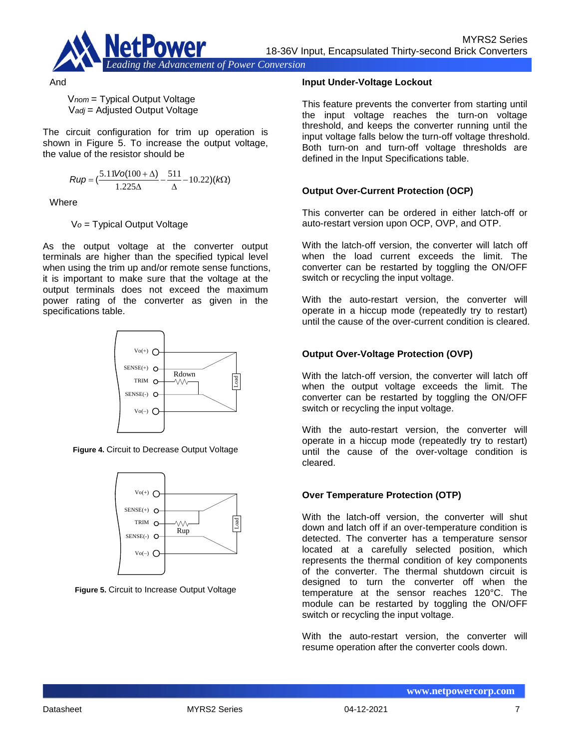

And

V*nom* = Typical Output Voltage V*adj* = Adjusted Output Voltage

The circuit configuration for trim up operation is shown in Figure 5. To increase the output voltage, the value of the resistor should be

$$
Rup = \left(\frac{5.11\text{Vol}(100 + \Delta)}{1.225\Delta} - \frac{511}{\Delta} - 10.22\right)(k\Omega)
$$

**Where** 

V*o* = Typical Output Voltage

As the output voltage at the converter output terminals are higher than the specified typical level when using the trim up and/or remote sense functions, it is important to make sure that the voltage at the output terminals does not exceed the maximum power rating of the converter as given in the specifications table.



**Figure 4.** Circuit to Decrease Output Voltage



**Figure 5.** Circuit to Increase Output Voltage

#### **Input Under-Voltage Lockout**

This feature prevents the converter from starting until the input voltage reaches the turn-on voltage threshold, and keeps the converter running until the input voltage falls below the turn-off voltage threshold. Both turn-on and turn-off voltage thresholds are defined in the Input Specifications table.

#### **Output Over-Current Protection (OCP)**

This converter can be ordered in either latch-off or auto-restart version upon OCP, OVP, and OTP.

With the latch-off version, the converter will latch off when the load current exceeds the limit. The converter can be restarted by toggling the ON/OFF switch or recycling the input voltage.

With the auto-restart version, the converter will operate in a hiccup mode (repeatedly try to restart) until the cause of the over-current condition is cleared.

#### **Output Over-Voltage Protection (OVP)**

With the latch-off version, the converter will latch off when the output voltage exceeds the limit. The converter can be restarted by toggling the ON/OFF switch or recycling the input voltage.

With the auto-restart version, the converter will operate in a hiccup mode (repeatedly try to restart) until the cause of the over-voltage condition is cleared.

#### **Over Temperature Protection (OTP)**

With the latch-off version, the converter will shut down and latch off if an over-temperature condition is detected. The converter has a temperature sensor located at a carefully selected position, which represents the thermal condition of key components of the converter. The thermal shutdown circuit is designed to turn the converter off when the temperature at the sensor reaches 120°C. The module can be restarted by toggling the ON/OFF switch or recycling the input voltage.

With the auto-restart version, the converter will resume operation after the converter cools down.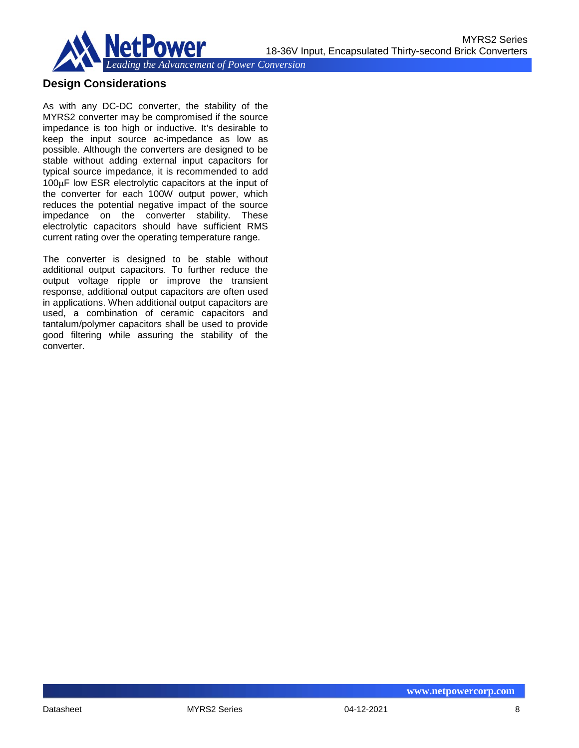

# **Design Considerations**

As with any DC-DC converter, the stability of the MYRS2 converter may be compromised if the source impedance is too high or inductive. It's desirable to keep the input source ac-impedance as low as possible. Although the converters are designed to be stable without adding external input capacitors for typical source impedance, it is recommended to add 100µF low ESR electrolytic capacitors at the input of the converter for each 100W output power, which reduces the potential negative impact of the source impedance on the converter stability. These electrolytic capacitors should have sufficient RMS current rating over the operating temperature range.

The converter is designed to be stable without additional output capacitors. To further reduce the output voltage ripple or improve the transient response, additional output capacitors are often used in applications. When additional output capacitors are used, a combination of ceramic capacitors and tantalum/polymer capacitors shall be used to provide good filtering while assuring the stability of the converter.